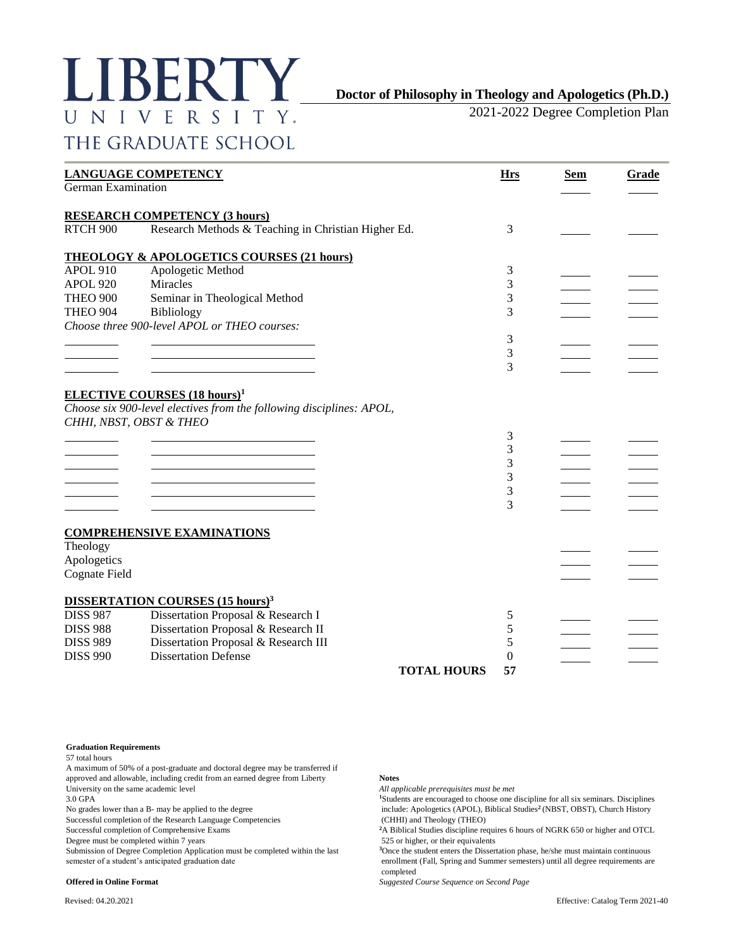# LIBERTY UNIVERSITY. THE GRADUATE SCHOOL

# **Doctor of Philosophy in Theology and Apologetics (Ph.D.)**

2021-2022 Degree Completion Plan

| German Examination   | <b>LANGUAGE COMPETENCY</b>                                           | <b>Hrs</b> | <b>Sem</b> | Grade |
|----------------------|----------------------------------------------------------------------|------------|------------|-------|
|                      |                                                                      |            |            |       |
|                      | <b>RESEARCH COMPETENCY (3 hours)</b>                                 |            |            |       |
| RTCH <sub>900</sub>  | Research Methods & Teaching in Christian Higher Ed.                  | 3          |            |       |
|                      | <b>THEOLOGY &amp; APOLOGETICS COURSES (21 hours)</b>                 |            |            |       |
| <b>APOL 910</b>      | Apologetic Method                                                    | 3          |            |       |
| <b>APOL 920</b>      | Miracles                                                             | 3          |            |       |
| <b>THEO 900</b>      | Seminar in Theological Method                                        | 3          |            |       |
| <b>THEO 904</b>      | Bibliology                                                           | 3          |            |       |
|                      | Choose three 900-level APOL or THEO courses:                         |            |            |       |
|                      |                                                                      | 3          |            |       |
|                      |                                                                      | 3          |            |       |
|                      |                                                                      | 3          |            |       |
|                      |                                                                      |            |            |       |
|                      | <b>ELECTIVE COURSES</b> (18 hours) <sup>1</sup>                      |            |            |       |
|                      | Choose six 900-level electives from the following disciplines: APOL, |            |            |       |
|                      | CHHI, NBST, OBST & THEO                                              |            |            |       |
|                      |                                                                      | 3          |            |       |
|                      |                                                                      | 3          |            |       |
|                      |                                                                      | 3          |            |       |
|                      |                                                                      | 3          |            |       |
|                      |                                                                      | 3          |            |       |
|                      |                                                                      | 3          |            |       |
|                      |                                                                      |            |            |       |
|                      |                                                                      |            |            |       |
|                      | <b>COMPREHENSIVE EXAMINATIONS</b>                                    |            |            |       |
| Theology             |                                                                      |            |            |       |
| Apologetics          |                                                                      |            |            |       |
| <b>Cognate Field</b> |                                                                      |            |            |       |
|                      | <b>DISSERTATION COURSES (15 hours)<sup>3</sup></b>                   |            |            |       |
| <b>DISS 987</b>      | Dissertation Proposal & Research I                                   | 5          |            |       |
| <b>DISS 988</b>      | Dissertation Proposal & Research II                                  | 5          |            |       |
| <b>DISS 989</b>      | Dissertation Proposal & Research III                                 | 5          |            |       |
| <b>DISS 990</b>      | <b>Dissertation Defense</b>                                          | $\theta$   |            |       |
|                      | <b>TOTAL HOURS</b>                                                   | 57         |            |       |
|                      |                                                                      |            |            |       |

**Graduation Requirements**

57 total hours

A maximum of 50% of a post-graduate and doctoral degree may be transferred if approved and allowable, including credit from an earned degree from Liberty **Notes** University on the same academic level *All applicable prerequisites must be met*

Successful completion of the Research Language Competencies (CHHI) and Theology (THEO)

Submission of Degree Completion Application must be completed within the last

3.0 GPA<br>No grades lower than a B- may be applied to the degree **11** and 10 and 15 and 15 and 15 and 15 and 15 and 15 and 15 and 15 and 15 and 15 and 15 and 15 and 15 and 15 and 15 and 15 and 15 and 15 and 15 and 15 and 15 include: Apologetics (APOL), Biblical Studies<sup>2</sup> (NBST, OBST), Church History

Successful completion of Comprehensive Exams **<sup>2</sup>**A Biblical Studies discipline requires 6 hours of NGRK 650 or higher and OTCL

Degree must be completed within 7 years 525 or higher, or their equivalents<br>Submission of Degree Completion Application must be completed within the last <sup>3</sup>Once the student enters the Dissertation phase, he/she must maint semester of a student's anticipated graduation date enrollment (Fall, Spring and Summer semesters) until all degree requirements are completed

**Offered in Online Format** *Suggested Course Sequence on Second Page*